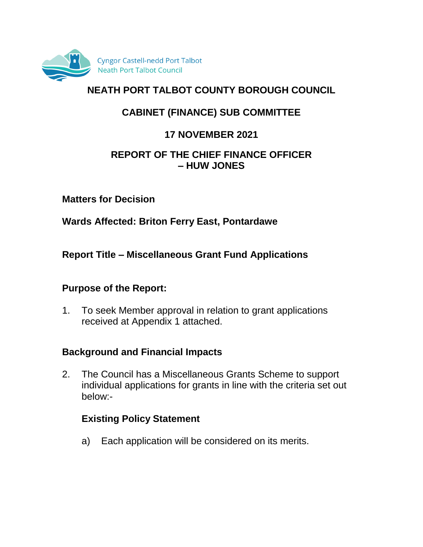

# **NEATH PORT TALBOT COUNTY BOROUGH COUNCIL**

# **CABINET (FINANCE) SUB COMMITTEE**

# **17 NOVEMBER 2021**

#### **REPORT OF THE CHIEF FINANCE OFFICER – HUW JONES**

**Matters for Decision**

**Wards Affected: Briton Ferry East, Pontardawe**

**Report Title – Miscellaneous Grant Fund Applications**

#### **Purpose of the Report:**

1. To seek Member approval in relation to grant applications received at Appendix 1 attached.

## **Background and Financial Impacts**

2. The Council has a Miscellaneous Grants Scheme to support individual applications for grants in line with the criteria set out below:-

## **Existing Policy Statement**

a) Each application will be considered on its merits.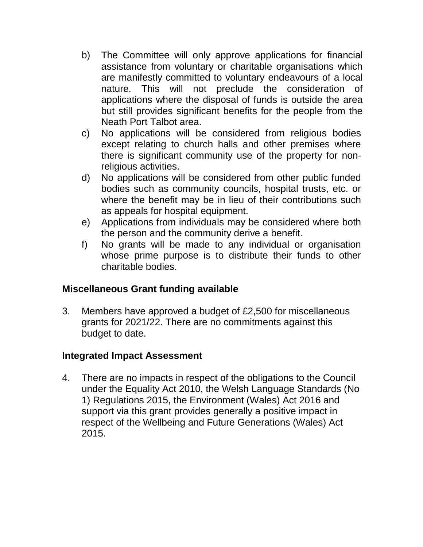- b) The Committee will only approve applications for financial assistance from voluntary or charitable organisations which are manifestly committed to voluntary endeavours of a local nature. This will not preclude the consideration of applications where the disposal of funds is outside the area but still provides significant benefits for the people from the Neath Port Talbot area.
- c) No applications will be considered from religious bodies except relating to church halls and other premises where there is significant community use of the property for nonreligious activities.
- d) No applications will be considered from other public funded bodies such as community councils, hospital trusts, etc. or where the benefit may be in lieu of their contributions such as appeals for hospital equipment.
- e) Applications from individuals may be considered where both the person and the community derive a benefit.
- f) No grants will be made to any individual or organisation whose prime purpose is to distribute their funds to other charitable bodies.

## **Miscellaneous Grant funding available**

3. Members have approved a budget of £2,500 for miscellaneous grants for 2021/22. There are no commitments against this budget to date.

#### **Integrated Impact Assessment**

4. There are no impacts in respect of the obligations to the Council under the Equality Act 2010, the Welsh Language Standards (No 1) Regulations 2015, the Environment (Wales) Act 2016 and support via this grant provides generally a positive impact in respect of the Wellbeing and Future Generations (Wales) Act 2015.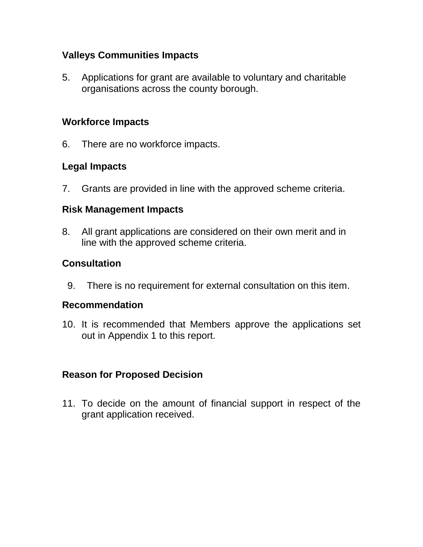### **Valleys Communities Impacts**

5. Applications for grant are available to voluntary and charitable organisations across the county borough.

#### **Workforce Impacts**

6. There are no workforce impacts.

# **Legal Impacts**

7. Grants are provided in line with the approved scheme criteria.

#### **Risk Management Impacts**

8. All grant applications are considered on their own merit and in line with the approved scheme criteria.

## **Consultation**

9. There is no requirement for external consultation on this item.

#### **Recommendation**

10. It is recommended that Members approve the applications set out in Appendix 1 to this report.

#### **Reason for Proposed Decision**

11. To decide on the amount of financial support in respect of the grant application received.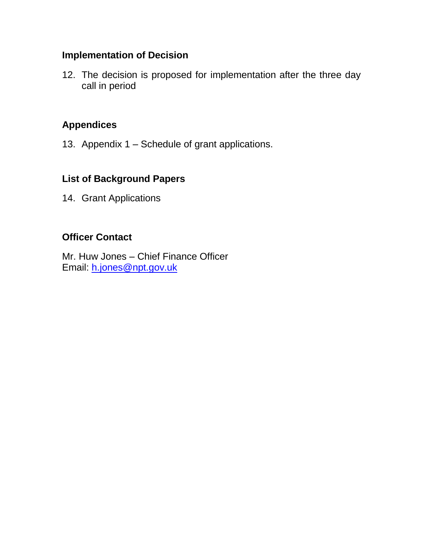#### **Implementation of Decision**

12. The decision is proposed for implementation after the three day call in period

## **Appendices**

13. Appendix 1 – Schedule of grant applications.

# **List of Background Papers**

14. Grant Applications

# **Officer Contact**

Mr. Huw Jones – Chief Finance Officer Email: [h.jones@npt.gov.uk](mailto:h.jones@npt.gov.uk)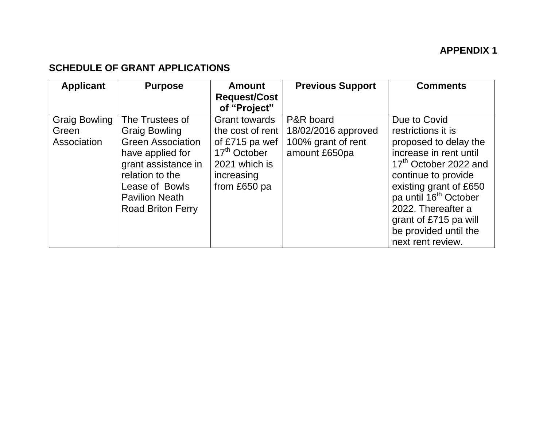### **APPENDIX 1**

#### **SCHEDULE OF GRANT APPLICATIONS**

| <b>Applicant</b>                             | <b>Purpose</b>                                                                                                                                                                                           | <b>Amount</b><br><b>Request/Cost</b><br>of "Project"                                                                                  | <b>Previous Support</b>                                                 | <b>Comments</b>                                                                                                                                                                                                                        |
|----------------------------------------------|----------------------------------------------------------------------------------------------------------------------------------------------------------------------------------------------------------|---------------------------------------------------------------------------------------------------------------------------------------|-------------------------------------------------------------------------|----------------------------------------------------------------------------------------------------------------------------------------------------------------------------------------------------------------------------------------|
| <b>Graig Bowling</b><br>Green<br>Association | The Trustees of<br><b>Graig Bowling</b><br><b>Green Association</b><br>have applied for<br>grant assistance in<br>relation to the<br>Lease of Bowls<br><b>Pavilion Neath</b><br><b>Road Briton Ferry</b> | <b>Grant towards</b><br>the cost of rent<br>of £715 pa wef<br>17 <sup>th</sup> October<br>2021 which is<br>increasing<br>from £650 pa | P&R board<br>18/02/2016 approved<br>100% grant of rent<br>amount £650pa | Due to Covid<br>restrictions it is<br>proposed to delay the<br>increase in rent until<br>17 <sup>th</sup> October 2022 and<br>continue to provide<br>existing grant of £650<br>pa until 16 <sup>th</sup> October<br>2022. Thereafter a |
|                                              |                                                                                                                                                                                                          |                                                                                                                                       |                                                                         | grant of £715 pa will<br>be provided until the<br>next rent review.                                                                                                                                                                    |